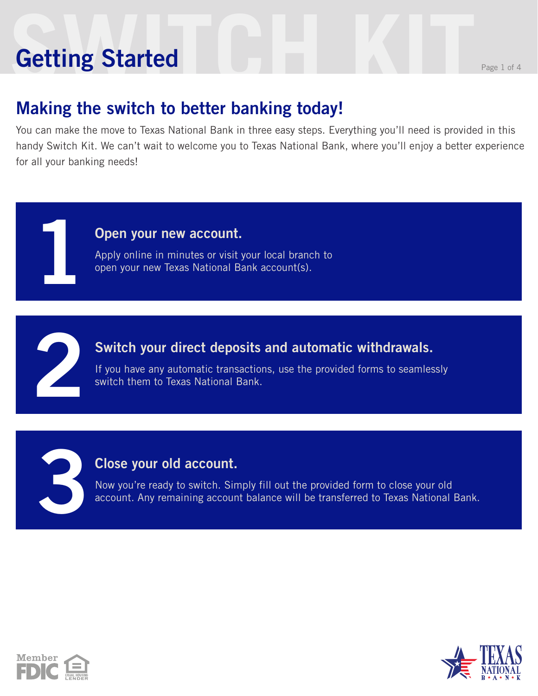# **Setting Started** Reserves the Page 1 of 4 **Getting Started**

**1**

**2**

**3**

### **Making the switch to better banking today!**

You can make the move to Texas National Bank in three easy steps. Everything you'll need is provided in this handy Switch Kit. We can't wait to welcome you to Texas National Bank, where you'll enjoy a better experience for all your banking needs!

#### **Open your new account.**

Apply online in minutes or visit your local branch to open your new Texas National Bank account(s).

#### **Switch your direct deposits and automatic withdrawals.**

If you have any automatic transactions, use the provided forms to seamlessly switch them to Texas National Bank.

#### **Close your old account.**

Now you're ready to switch. Simply fill out the provided form to close your old account. Any remaining account balance will be transferred to Texas National Bank.



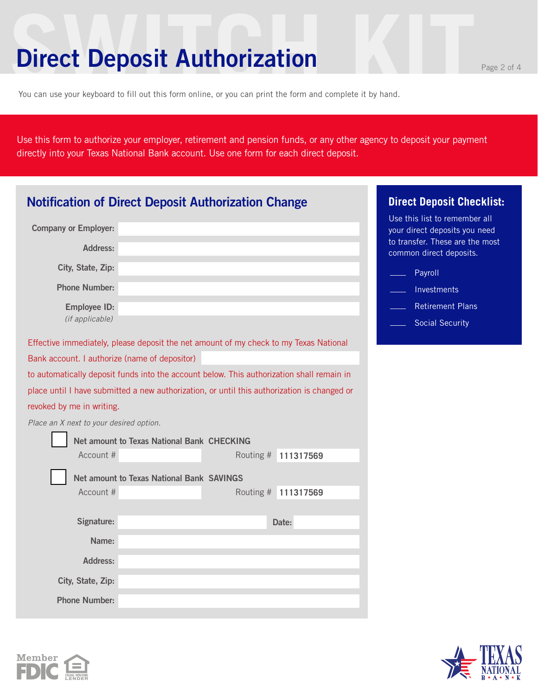### **Direct Deposit Authorization**

You can use your keyboard to fill out this form online, or you can print the form and complete it by hand.

Use this form to authorize your employer, retirement and pension funds, or any other agency to deposit your payment directly into your Texas National Bank account. Use one form for each direct deposit.

| <b>Notification of Direct Deposit Authorization Change</b> | <b>Direct Deposit Checklist:</b>                                                            |                                                                                                   |
|------------------------------------------------------------|---------------------------------------------------------------------------------------------|---------------------------------------------------------------------------------------------------|
| <b>Company or Employer:</b>                                |                                                                                             | Use this list to remember all<br>your direct deposits you need<br>to transfer. These are the most |
| Address:                                                   |                                                                                             | common direct deposits.                                                                           |
| City, State, Zip:                                          |                                                                                             | Payroll                                                                                           |
| <b>Phone Number:</b>                                       |                                                                                             | Investments                                                                                       |
| <b>Employee ID:</b>                                        |                                                                                             | <b>Retirement Plans</b>                                                                           |
| (if applicable)                                            |                                                                                             | <b>Social Security</b>                                                                            |
|                                                            | Effective immediately, please deposit the net amount of my check to my Texas National       |                                                                                                   |
| Bank account. I authorize (name of depositor)              |                                                                                             |                                                                                                   |
|                                                            | to automatically deposit funds into the account below. This authorization shall remain in   |                                                                                                   |
|                                                            | place until I have submitted a new authorization, or until this authorization is changed or |                                                                                                   |
| revoked by me in writing.                                  |                                                                                             |                                                                                                   |
| Place an X next to your desired option.                    |                                                                                             |                                                                                                   |
|                                                            | Net amount to Texas National Bank CHECKING                                                  |                                                                                                   |
| Account #                                                  | Routing # 111317569                                                                         |                                                                                                   |
|                                                            | Net amount to Texas National Bank SAVINGS                                                   |                                                                                                   |
| Account #                                                  | Routing # 111317569                                                                         |                                                                                                   |
|                                                            |                                                                                             |                                                                                                   |
| Signature:                                                 | Date:                                                                                       |                                                                                                   |
| Name:                                                      |                                                                                             |                                                                                                   |
| Address:                                                   |                                                                                             |                                                                                                   |
| City, State, Zip:                                          |                                                                                             |                                                                                                   |
| <b>Phone Number:</b>                                       |                                                                                             |                                                                                                   |



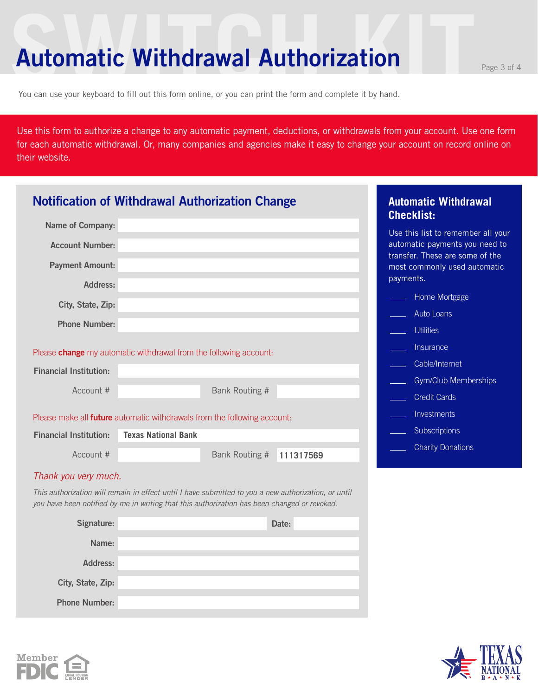### **Automatic Withdrawal Authorization**

You can use your keyboard to fill out this form online, or you can print the form and complete it by hand.

Use this form to authorize a change to any automatic payment, deductions, or withdrawals from your account. Use one form for each automatic withdrawal. Or, many companies and agencies make it easy to change your account on record online on their website.

| <b>Notification of Withdrawal Authorization Change</b>                                                                                                                                               |                            |                |           |           | <b>Automatic Withdrawal</b><br><b>Checklist:</b>                  |  |
|------------------------------------------------------------------------------------------------------------------------------------------------------------------------------------------------------|----------------------------|----------------|-----------|-----------|-------------------------------------------------------------------|--|
| <b>Name of Company:</b>                                                                                                                                                                              |                            |                |           |           | Use this list to remember all your                                |  |
| <b>Account Number:</b>                                                                                                                                                                               |                            |                |           |           | automatic payments you need to<br>transfer. These are some of the |  |
| <b>Payment Amount:</b>                                                                                                                                                                               |                            |                |           | payments. | most commonly used automatic                                      |  |
| Address:                                                                                                                                                                                             |                            |                |           |           |                                                                   |  |
| City, State, Zip:                                                                                                                                                                                    |                            |                |           |           | Home Mortgage                                                     |  |
| <b>Phone Number:</b>                                                                                                                                                                                 |                            |                |           |           | <b>Auto Loans</b>                                                 |  |
|                                                                                                                                                                                                      |                            |                |           |           | <b>Utilities</b>                                                  |  |
| Please change my automatic withdrawal from the following account:                                                                                                                                    |                            |                |           |           | Insurance                                                         |  |
| <b>Financial Institution:</b>                                                                                                                                                                        |                            |                |           |           | Cable/Internet                                                    |  |
|                                                                                                                                                                                                      |                            |                |           |           | Gym/Club Memberships                                              |  |
| Account #                                                                                                                                                                                            |                            | Bank Routing # |           |           | <b>Credit Cards</b>                                               |  |
| Please make all <b>future</b> automatic withdrawals from the following account:                                                                                                                      |                            |                |           |           | Investments                                                       |  |
| <b>Financial Institution:</b>                                                                                                                                                                        | <b>Texas National Bank</b> |                |           |           | Subscriptions                                                     |  |
| Account #                                                                                                                                                                                            |                            | Bank Routing # | 111317569 |           | <b>Charity Donations</b>                                          |  |
| Thank you very much.                                                                                                                                                                                 |                            |                |           |           |                                                                   |  |
| This authorization will remain in effect until I have submitted to you a new authorization, or until<br>you have been notified by me in writing that this authorization has been changed or revoked. |                            |                |           |           |                                                                   |  |
| Signature:                                                                                                                                                                                           |                            |                | Date:     |           |                                                                   |  |
| Name:                                                                                                                                                                                                |                            |                |           |           |                                                                   |  |
| <b>Address:</b>                                                                                                                                                                                      |                            |                |           |           |                                                                   |  |
| City, State, Zip:                                                                                                                                                                                    |                            |                |           |           |                                                                   |  |
| <b>Phone Number:</b>                                                                                                                                                                                 |                            |                |           |           |                                                                   |  |